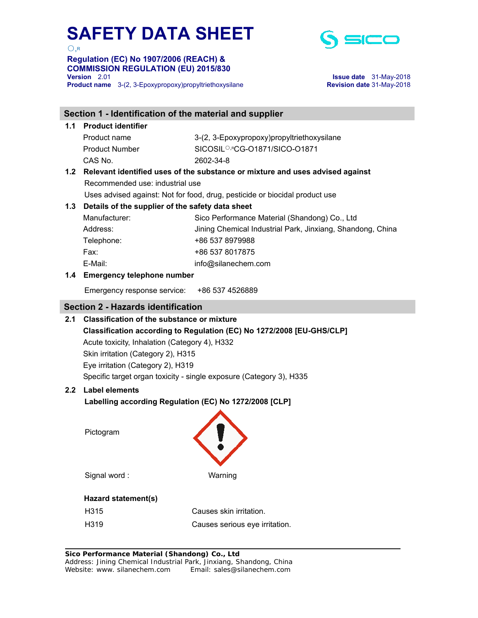$O, R$ 

# **Regulation (EC) No 1907/2006 (REACH) & COMMISSION REGULATION (EU) 2015/830**

**Product name** 3-(2, 3-Epoxypropoxy)propyltriethoxysilane **Revision date** 31-May-2018



**Version** 2.01 **Issue date** 31-May-2018

|     | Section 1 - Identification of the material and supplier                       |                                                            |  |  |  |  |
|-----|-------------------------------------------------------------------------------|------------------------------------------------------------|--|--|--|--|
|     | 1.1 Product identifier                                                        |                                                            |  |  |  |  |
|     | Product name                                                                  | 3-(2, 3-Epoxypropoxy)propyltriethoxysilane                 |  |  |  |  |
|     | <b>Product Number</b>                                                         | SICOSIL <sup>O,R</sup> CG-01871/SICO-01871                 |  |  |  |  |
|     | CAS No.                                                                       | 2602-34-8                                                  |  |  |  |  |
| 1.2 | Relevant identified uses of the substance or mixture and uses advised against |                                                            |  |  |  |  |
|     | Recommended use: industrial use                                               |                                                            |  |  |  |  |
|     | Uses advised against: Not for food, drug, pesticide or biocidal product use   |                                                            |  |  |  |  |
| 1.3 | Details of the supplier of the safety data sheet                              |                                                            |  |  |  |  |
|     | Manufacturer:                                                                 | Sico Performance Material (Shandong) Co., Ltd              |  |  |  |  |
|     | Address:                                                                      | Jining Chemical Industrial Park, Jinxiang, Shandong, China |  |  |  |  |
|     | Telephone:                                                                    | +86 537 8979988                                            |  |  |  |  |
|     | Fax:                                                                          | +86 537 8017875                                            |  |  |  |  |
|     | E-Mail:                                                                       | info@silanechem.com                                        |  |  |  |  |
|     | 1.4 Emergency telephone number                                                |                                                            |  |  |  |  |
|     | Emergency response service:                                                   | +86 537 4526889                                            |  |  |  |  |
|     | <b>Section 2 - Hazards identification</b>                                     |                                                            |  |  |  |  |
| 2.1 | <b>Classification of the substance or mixture</b>                             |                                                            |  |  |  |  |
|     | Classification according to Regulation (EC) No 1272/2008 [EU-GHS/CLP]         |                                                            |  |  |  |  |
|     | Acute toxicity, Inhalation (Category 4), H332                                 |                                                            |  |  |  |  |
|     | Skin irritation (Category 2), H315                                            |                                                            |  |  |  |  |
|     | Eye irritation (Category 2), H319                                             |                                                            |  |  |  |  |
|     | Specific target organ toxicity - single exposure (Category 3), H335           |                                                            |  |  |  |  |
|     | 2.2 Label elements                                                            |                                                            |  |  |  |  |
|     | Labelling according Regulation (EC) No 1272/2008 [CLP]                        |                                                            |  |  |  |  |
|     |                                                                               |                                                            |  |  |  |  |
|     | Pictogram                                                                     |                                                            |  |  |  |  |
|     |                                                                               |                                                            |  |  |  |  |
|     |                                                                               |                                                            |  |  |  |  |
|     |                                                                               |                                                            |  |  |  |  |
|     | Signal word:                                                                  | Warning                                                    |  |  |  |  |
|     | Hazard statement(s)                                                           |                                                            |  |  |  |  |
|     | H315                                                                          | Causes skin irritation.                                    |  |  |  |  |
|     | H319                                                                          | Causes serious eye irritation.                             |  |  |  |  |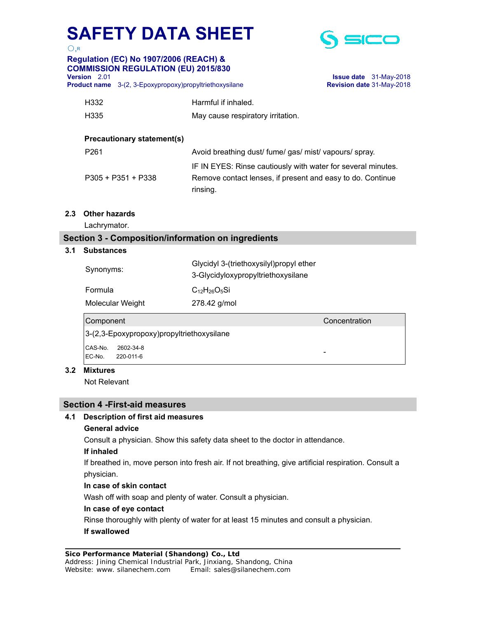

 $\bigcirc$ ,R **Regulation (EC) No 1907/2006 (REACH) & COMMISSION REGULATION (EU) 2015/830** 

**Version** 2.01 **Issue date** 31-May-2018 **Product name** 3-(2, 3-Epoxypropoxy)propyltriethoxysilane **Revision date** 31-May-2018

| H332                              | Harmful if inhaled.                                                                                                                    |
|-----------------------------------|----------------------------------------------------------------------------------------------------------------------------------------|
| H335                              | May cause respiratory irritation.                                                                                                      |
| <b>Precautionary statement(s)</b> |                                                                                                                                        |
| P <sub>261</sub>                  | Avoid breathing dust/ fume/ gas/ mist/ vapours/ spray.                                                                                 |
| $P305 + P351 + P338$              | IF IN EYES: Rinse cautiously with water for several minutes.<br>Remove contact lenses, if present and easy to do. Continue<br>rinsing. |

**2.3 Other hazards** 

Lachrymator.

## **Section 3 - Composition/information on ingredients**

#### **3.1 Substances**

| Synonyms:                                 | Glycidyl 3-(triethoxysilyl)propyl ether<br>3-Glycidyloxypropyltriethoxysilane |               |
|-------------------------------------------|-------------------------------------------------------------------------------|---------------|
| Formula                                   | $C_{12}H_{26}O_5Si$                                                           |               |
| Molecular Weight                          | 278.42 g/mol                                                                  |               |
| Component                                 |                                                                               | Concentration |
| 3-(2,3-Epoxypropoxy)propyltriethoxysilane |                                                                               |               |
| CAS-No.<br>2602-34-8                      |                                                                               |               |
| EC-No.<br>220-011-6                       |                                                                               | -             |

#### **3.2 Mixtures**

Not Relevant

#### **Section 4 -First-aid measures**

#### **4.1 Description of first aid measures**

#### **General advice**

Consult a physician. Show this safety data sheet to the doctor in attendance.

#### **If inhaled**

 If breathed in, move person into fresh air. If not breathing, give artificial respiration. Consult a physician.

#### **In case of skin contact**

Wash off with soap and plenty of water. Consult a physician.

#### **In case of eye contact**

Rinse thoroughly with plenty of water for at least 15 minutes and consult a physician.

#### **If swallowed**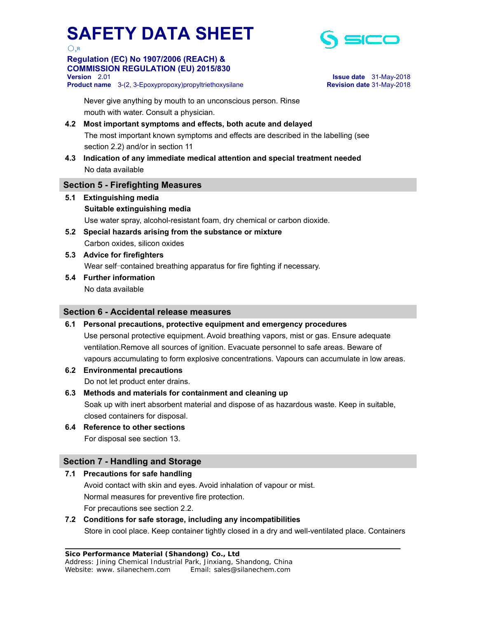

## **Regulation (EC) No 1907/2006 (REACH) & COMMISSION REGULATION (EU) 2015/830**

**Product name** 3-(2, 3-Epoxypropoxy)propyltriethoxysilane **Revision date** 31-May-2018



**Version** 2.01 **Issue date** 31-May-2018

 Never give anything by mouth to an unconscious person. Rinse mouth with water. Consult a physician.

# **4.2 Most important symptoms and effects, both acute and delayed**

The most important known symptoms and effects are described in the labelling (see section 2.2) and/or in section 11

**4.3 Indication of any immediate medical attention and special treatment needed** No data available

## **Section 5 - Firefighting Measures**

- **5.1 Extinguishing media Suitable extinguishing media**  Use water spray, alcohol-resistant foam, dry chemical or carbon dioxide.
- **5.2 Special hazards arising from the substance or mixture**  Carbon oxides, silicon oxides
- **5.3 Advice for firefighters**  Wear self-contained breathing apparatus for fire fighting if necessary.
- **5.4 Further information**  No data available

## **Section 6 - Accidental release measures**

#### **6.1 Personal precautions, protective equipment and emergency procedures**

- Use personal protective equipment. Avoid breathing vapors, mist or gas. Ensure adequate ventilation.Remove all sources of ignition. Evacuate personnel to safe areas. Beware of vapours accumulating to form explosive concentrations. Vapours can accumulate in low areas.
- **6.2 Environmental precautions**  Do not let product enter drains.

**6.3 Methods and materials for containment and cleaning up** 

 Soak up with inert absorbent material and dispose of as hazardous waste. Keep in suitable, closed containers for disposal.

**6.4 Reference to other sections**  For disposal see section 13.

# **Section 7 - Handling and Storage**

## **7.1 Precautions for safe handling**

 Avoid contact with skin and eyes. Avoid inhalation of vapour or mist. Normal measures for preventive fire protection. For precautions see section 2.2.

# **7.2 Conditions for safe storage, including any incompatibilities**

Store in cool place. Keep container tightly closed in a dry and well-ventilated place. Containers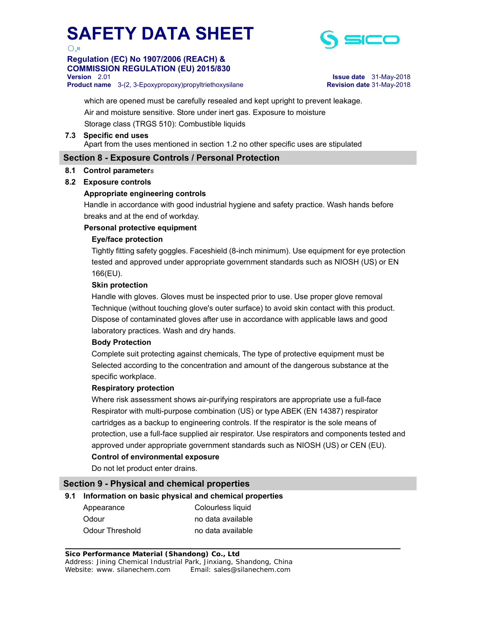

# **Regulation (EC) No 1907/2006 (REACH) & COMMISSION REGULATION (EU) 2015/830**

**Product name** 3-(2, 3-Epoxypropoxy)propyltriethoxysilane **Revision date** 31-May-2018



**Version** 2.01 **Issue date** 31-May-2018

 which are opened must be carefully resealed and kept upright to prevent leakage. Air and moisture sensitive. Store under inert gas. Exposure to moisture Storage class (TRGS 510): Combustible liquids

#### **7.3 Specific end uses**  Apart from the uses mentioned in section 1.2 no other specific uses are stipulated

# **Section 8 - Exposure Controls / Personal Protection**

#### **8.1 Control parameter**s

#### **8.2 Exposure controls**

#### **Appropriate engineering controls**

 Handle in accordance with good industrial hygiene and safety practice. Wash hands before breaks and at the end of workday.

#### **Personal protective equipment**

#### **Eye/face protection**

 Tightly fitting safety goggles. Faceshield (8-inch minimum). Use equipment for eye protection tested and approved under appropriate government standards such as NIOSH (US) or EN 166(EU).

#### **Skin protection**

 Handle with gloves. Gloves must be inspected prior to use. Use proper glove removal Technique (without touching glove's outer surface) to avoid skin contact with this product. Dispose of contaminated gloves after use in accordance with applicable laws and good laboratory practices. Wash and dry hands.

#### **Body Protection**

 Complete suit protecting against chemicals, The type of protective equipment must be Selected according to the concentration and amount of the dangerous substance at the specific workplace.

#### **Respiratory protection**

 Where risk assessment shows air-purifying respirators are appropriate use a full-face Respirator with multi-purpose combination (US) or type ABEK (EN 14387) respirator cartridges as a backup to engineering controls. If the respirator is the sole means of protection, use a full-face supplied air respirator. Use respirators and components tested and approved under appropriate government standards such as NIOSH (US) or CEN (EU). **Control of environmental exposure** 

Do not let product enter drains.

## **Section 9 - Physical and chemical properties**

#### **9.1 Information on basic physical and chemical properties**

Appearance Colourless liquid Odour **no data available** Odour Threshold no data available

**Sico Performance Material (Shandong) Co., Ltd**  Address: Jining Chemical Industrial Park, Jinxiang, Shandong, China Website: www. silanechem.com Email: sales@silanechem.com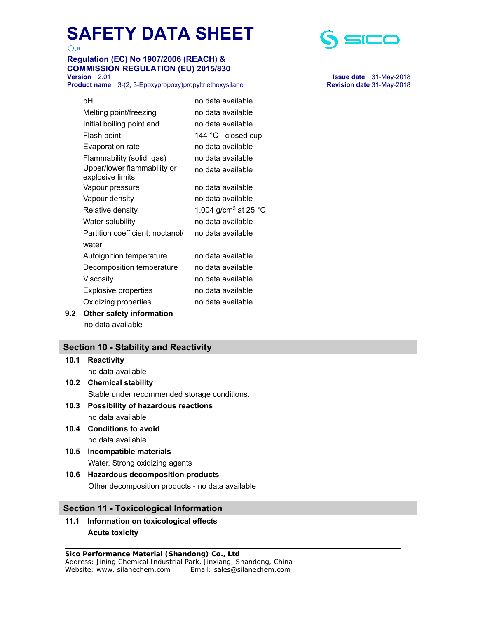○,R

# **Regulation (EC) No 1907/2006 (REACH) & COMMISSION REGULATION (EU) 2015/830**

**Product name** 3-(2, 3-Epoxypropoxy)propyltriethoxysilane **Revision date** 31-May-2018

| pН                                              | no data available                |
|-------------------------------------------------|----------------------------------|
| Melting point/freezing                          | no data available                |
| Initial boiling point and                       | no data available                |
| Flash point                                     | 144 °C - closed cup              |
| Evaporation rate                                | no data available                |
| Flammability (solid, gas)                       | no data available                |
| Upper/lower flammability or<br>explosive limits | no data available                |
| Vapour pressure                                 | no data available                |
| Vapour density                                  | no data available                |
| Relative density                                | 1.004 g/cm <sup>3</sup> at 25 °C |
| Water solubility                                | no data available                |
| Partition coefficient: noctanol/                | no data available                |
| water                                           |                                  |
| Autoignition temperature                        | no data available                |
| Decomposition temperature                       | no data available                |
| Viscosity                                       | no data available                |
| <b>Explosive properties</b>                     | no data available                |
| Oxidizing properties                            | no data available                |
| Other safety information                        |                                  |

**9.2 Other safety** no data available

# **Section 10 - Stability and Reactivity**

**10.1 Reactivity**  no data available **10.2 Chemical stability** 

Stable under recommended storage conditions.

- **10.3 Possibility of hazardous reactions**  no data available
- **10.4 Conditions to avoid**  no data available

- **10.5 Incompatible materials**  Water, Strong oxidizing agents
- **10.6 Hazardous decomposition products**  Other decomposition products - no data available

# **Section 11 - Toxicological Information**

**11.1 Information on toxicological effects Acute toxicity** 



**Version** 2.01 **Issue date** 31-May-2018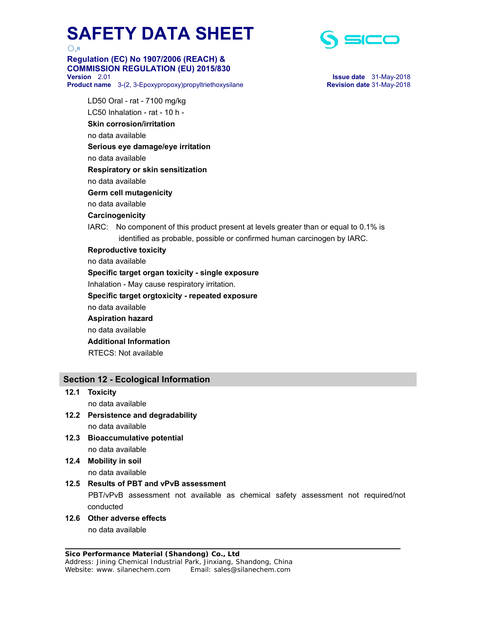

# **Regulation (EC) No 1907/2006 (REACH) & COMMISSION REGULATION (EU) 2015/830**

**Version** 2.01 **Issue date** 31-May-2018 **Product name** 3-(2, 3-Epoxypropoxy)propyltriethoxysilane **Revision date** 31-May-2018



 LD50 Oral - rat - 7100 mg/kg LC50 Inhalation - rat - 10 h - **Skin corrosion/irritation**  no data available  **Serious eye damage/eye irritation**  no data available  **Respiratory or skin sensitization**  no data available  **Germ cell mutagenicity**  no data available  **Carcinogenicity**  IARC: No component of this product present at levels greater than or equal to 0.1% is identified as probable, possible or confirmed human carcinogen by IARC.  **Reproductive toxicity**  no data available  **Specific target organ toxicity - single exposure**  Inhalation - May cause respiratory irritation.  **Specific target orgtoxicity - repeated exposure**  no data available  **Aspiration hazard**  no data available  **Additional Information**  RTECS: Not available

# **Section 12 - Ecological Information**

- **12.1 Toxicity**  no data available
- **12.2 Persistence and degradability**  no data available
- **12.3 Bioaccumulative potential**  no data available
- **12.4 Mobility in soil**  no data available

#### **12.5 Results of PBT and vPvB assessment**

 PBT/vPvB assessment not available as chemical safety assessment not required/not conducted

**12.6 Other adverse effects** 

no data available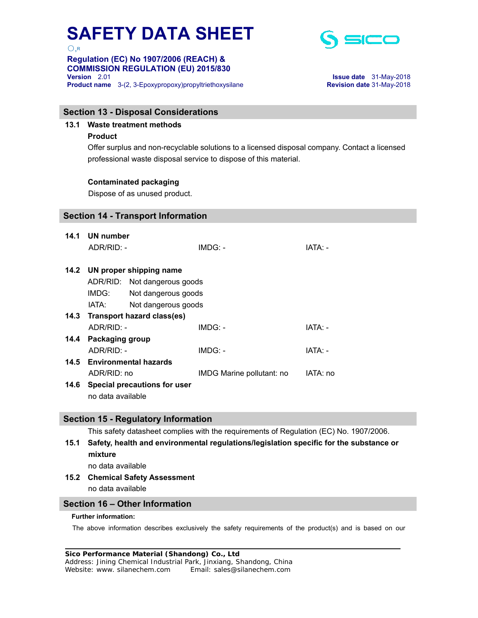○,R

# **Regulation (EC) No 1907/2006 (REACH) & COMMISSION REGULATION (EU) 2015/830**



**Version** 2.01 **Issue date** 31-May-2018 **Product name** 3-(2, 3-Epoxypropoxy)propyltriethoxysilane **Revision date** 31-May-2018

#### **Section 13 - Disposal Considerations**

## **13.1 Waste treatment methods**

#### **Product**

Offer surplus and non-recyclable solutions to a licensed disposal company. Contact a licensed professional waste disposal service to dispose of this material.

#### **Contaminated packaging**

Dispose of as unused product.

## **Section 14 - Transport Information**

| 14.1 | UN number                         |                     |                           |          |  |
|------|-----------------------------------|---------------------|---------------------------|----------|--|
|      | ADR/RID: -                        |                     | IMDG: -                   | IATA: -  |  |
|      | 14.2 UN proper shipping name      |                     |                           |          |  |
|      | ADR/RID: Not dangerous goods      |                     |                           |          |  |
|      | IMDG:                             | Not dangerous goods |                           |          |  |
|      | IATA:                             | Not dangerous goods |                           |          |  |
|      | 14.3 Transport hazard class(es)   |                     |                           |          |  |
|      | $ADR/RID: -$                      |                     | IMDG: -                   | IATA: -  |  |
|      | 14.4 Packaging group              |                     |                           |          |  |
|      | ADR/RID: -                        |                     | $IMDG: -$                 | IATA: -  |  |
|      | 14.5 Environmental hazards        |                     |                           |          |  |
|      | ADR/RID: no                       |                     | IMDG Marine pollutant: no | IATA: no |  |
|      | 14.6 Special precautions for user |                     |                           |          |  |
|      | no data available                 |                     |                           |          |  |

## **Section 15 - Regulatory Information**

This safety datasheet complies with the requirements of Regulation (EC) No. 1907/2006.

# **15.1 Safety, health and environmental regulations/legislation specific for the substance or mixture**

no data available

# **15.2 Chemical Safety Assessment**

no data available

# **Section 16 – Other Information**

#### **Further information:**

The above information describes exclusively the safety requirements of the product(s) and is based on our